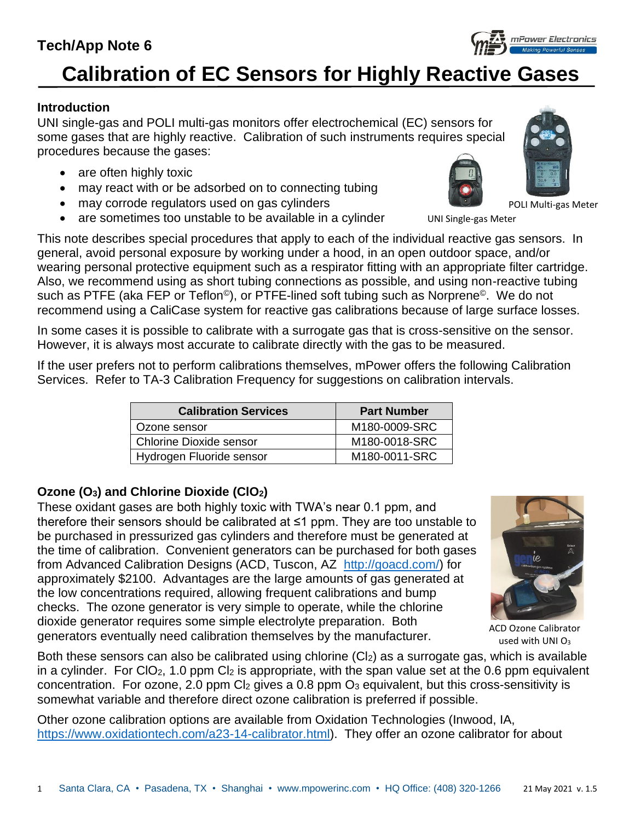1 Santa Clara, CA • Pasadena, TX • Shanghai • www.mpowerinc.com • HQ Office: (408) 320-1266 21 May 2021 v. 1.5

# **Tech/App Note 6**

# **Calibration of EC Sensors for Highly Reactive Gases**

### **Introduction**

UNI single-gas and POLI multi-gas monitors offer electrochemical (EC) sensors for some gases that are highly reactive. Calibration of such instruments requires special procedures because the gases:

- are often highly toxic
- may react with or be adsorbed on to connecting tubing
- may corrode regulators used on gas cylinders
- are sometimes too unstable to be available in a cylinder

This note describes special procedures that apply to each of the individual reactive gas sensors. In general, avoid personal exposure by working under a hood, in an open outdoor space, and/or wearing personal protective equipment such as a respirator fitting with an appropriate filter cartridge. Also, we recommend using as short tubing connections as possible, and using non-reactive tubing such as PTFE (aka FEP or Teflon<sup>®</sup>), or PTFE-lined soft tubing such as Norprene<sup>®</sup>. We do not recommend using a CaliCase system for reactive gas calibrations because of large surface losses.

In some cases it is possible to calibrate with a surrogate gas that is cross-sensitive on the sensor. However, it is always most accurate to calibrate directly with the gas to be measured.

If the user prefers not to perform calibrations themselves, mPower offers the following Calibration Services. Refer to TA-3 Calibration Frequency for suggestions on calibration intervals.

| <b>Calibration Services</b>    | <b>Part Number</b> |
|--------------------------------|--------------------|
| Ozone sensor                   | M180-0009-SRC      |
| <b>Chlorine Dioxide sensor</b> | M180-0018-SRC      |
| Hydrogen Fluoride sensor       | M180-0011-SRC      |
|                                |                    |

# **Ozone (O3) and Chlorine Dioxide (ClO2)**

These oxidant gases are both highly toxic with TWA's near 0.1 ppm, and therefore their sensors should be calibrated at ≤1 ppm. They are too unstable to be purchased in pressurized gas cylinders and therefore must be generated at the time of calibration. Convenient generators can be purchased for both gases from Advanced Calibration Designs (ACD, Tuscon, AZ [http://goacd.com/\)](http://goacd.com/) for approximately \$2100. Advantages are the large amounts of gas generated at the low concentrations required, allowing frequent calibrations and bump checks. The ozone generator is very simple to operate, while the chlorine dioxide generator requires some simple electrolyte preparation. Both generators eventually need calibration themselves by the manufacturer.

Both these sensors can also be calibrated using chlorine (Cl2) as a surrogate gas, which is available in a cylinder. For ClO<sub>2</sub>, 1.0 ppm Cl<sub>2</sub> is appropriate, with the span value set at the 0.6 ppm equivalent concentration. For ozone, 2.0 ppm  $Cl<sub>2</sub>$  gives a 0.8 ppm  $O<sub>3</sub>$  equivalent, but this cross-sensitivity is somewhat variable and therefore direct ozone calibration is preferred if possible.

Other ozone calibration options are available from Oxidation Technologies (Inwood, IA, [https://www.oxidationtech.com/a23-14-calibrator.html\)](https://www.oxidationtech.com/a23-14-calibrator.html). They offer an ozone calibrator for about



used with UNI $O<sub>3</sub>$ 



POLI Multi-gas Meter



UNI Single-gas Meter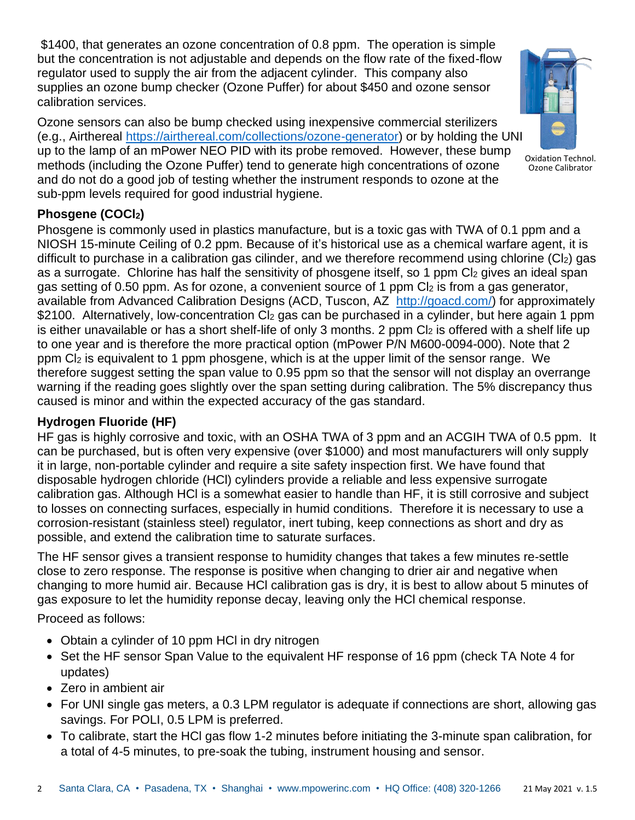\$1400, that generates an ozone concentration of 0.8 ppm. The operation is simple but the concentration is not adjustable and depends on the flow rate of the fixed-flow regulator used to supply the air from the adjacent cylinder. This company also supplies an ozone bump checker (Ozone Puffer) for about \$450 and ozone sensor calibration services.

Ozone sensors can also be bump checked using inexpensive commercial sterilizers (e.g., Airthereal [https://airthereal.com/collections/ozone-generator\)](https://airthereal.com/collections/ozone-generator) or by holding the UNI up to the lamp of an mPower NEO PID with its probe removed. However, these bump methods (including the Ozone Puffer) tend to generate high concentrations of ozone and do not do a good job of testing whether the instrument responds to ozone at the sub-ppm levels required for good industrial hygiene.



Oxidation Technol. Ozone Calibrator

## **Phosgene (COCl2)**

Phosgene is commonly used in plastics manufacture, but is a toxic gas with TWA of 0.1 ppm and a NIOSH 15-minute Ceiling of 0.2 ppm. Because of it's historical use as a chemical warfare agent, it is difficult to purchase in a calibration gas cilinder, and we therefore recommend using chlorine  $(CI_2)$  gas as a surrogate. Chlorine has half the sensitivity of phosgene itself, so 1 ppm Cl2 gives an ideal span gas setting of 0.50 ppm. As for ozone, a convenient source of 1 ppm Cl<sub>2</sub> is from a gas generator, available from Advanced Calibration Designs (ACD, Tuscon, AZ [http://goacd.com/\)](http://goacd.com/) for approximately \$2100. Alternatively, low-concentration Cl<sub>2</sub> gas can be purchased in a cylinder, but here again 1 ppm is either unavailable or has a short shelf-life of only 3 months. 2 ppm  $Cl<sub>2</sub>$  is offered with a shelf life up to one year and is therefore the more practical option (mPower P/N M600-0094-000). Note that 2 ppm Cl<sup>2</sup> is equivalent to 1 ppm phosgene, which is at the upper limit of the sensor range. We therefore suggest setting the span value to 0.95 ppm so that the sensor will not display an overrange warning if the reading goes slightly over the span setting during calibration. The 5% discrepancy thus caused is minor and within the expected accuracy of the gas standard.

### **Hydrogen Fluoride (HF)**

HF gas is highly corrosive and toxic, with an OSHA TWA of 3 ppm and an ACGIH TWA of 0.5 ppm. It can be purchased, but is often very expensive (over \$1000) and most manufacturers will only supply it in large, non-portable cylinder and require a site safety inspection first. We have found that disposable hydrogen chloride (HCl) cylinders provide a reliable and less expensive surrogate calibration gas. Although HCl is a somewhat easier to handle than HF, it is still corrosive and subject to losses on connecting surfaces, especially in humid conditions. Therefore it is necessary to use a corrosion-resistant (stainless steel) regulator, inert tubing, keep connections as short and dry as possible, and extend the calibration time to saturate surfaces.

The HF sensor gives a transient response to humidity changes that takes a few minutes re-settle close to zero response. The response is positive when changing to drier air and negative when changing to more humid air. Because HCl calibration gas is dry, it is best to allow about 5 minutes of gas exposure to let the humidity reponse decay, leaving only the HCl chemical response.

Proceed as follows:

- Obtain a cylinder of 10 ppm HCl in dry nitrogen
- Set the HF sensor Span Value to the equivalent HF response of 16 ppm (check TA Note 4 for updates)
- Zero in ambient air
- For UNI single gas meters, a 0.3 LPM regulator is adequate if connections are short, allowing gas savings. For POLI, 0.5 LPM is preferred.
- To calibrate, start the HCl gas flow 1-2 minutes before initiating the 3-minute span calibration, for a total of 4-5 minutes, to pre-soak the tubing, instrument housing and sensor.